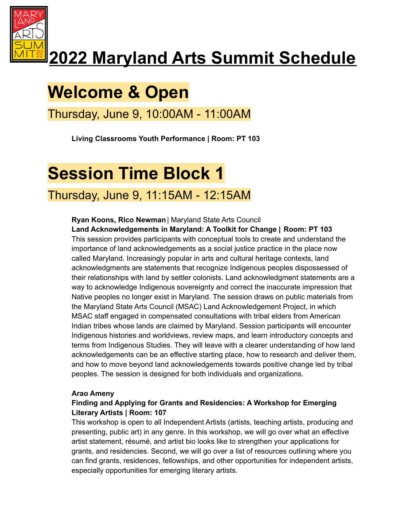

# **2022 Maryland Arts Summit Schedule**

# **Welcome & Open**

Thursday, June 9, 10:00AM - 11:00AM

**Living Classrooms Youth Performance | Room: PT 103**

## **Session Time Block 1**

## Thursday, June 9, 11:15AM - 12:15AM

### **Ryan Koons, Rico Newman** | Maryland State Arts Council

**Land Acknowledgements in Maryland: A Toolkit for Change | Room: PT 103** This session provides participants with conceptual tools to create and understand the importance of land acknowledgements as a social justice practice in the place now called Maryland. Increasingly popular in arts and cultural heritage contexts, land acknowledgments are statements that recognize Indigenous peoples dispossessed of their relationships with land by settler colonists. Land acknowledgment statements are a way to acknowledge Indigenous sovereignty and correct the inaccurate impression that Native peoples no longer exist in Maryland. The session draws on public materials from the Maryland State Arts Council (MSAC) Land Acknowledgement Project, in which MSAC staff engaged in compensated consultations with tribal elders from American Indian tribes whose lands are claimed by Maryland. Session participants will encounter Indigenous histories and worldviews, review maps, and learn introductory concepts and terms from Indigenous Studies. They will leave with a clearer understanding of how land acknowledgements can be an effective starting place, how to research and deliver them, and how to move beyond land acknowledgements towards positive change led by tribal peoples. The session is designed for both individuals and organizations.

### **Arao Ameny**

### **Finding and Applying for Grants and Residencies: A Workshop for Emerging Literary Artists | Room: 107**

This workshop is open to all Independent Artists (artists, teaching artists, producing and presenting, public art) in any genre. In this workshop, we will go over what an effective artist statement, résumé, and artist bio looks like to strengthen your applications for grants, and residencies. Second, we will go over a list of resources outlining where you can find grants, residences, fellowships, and other opportunities for independent artists, especially opportunities for emerging literary artists.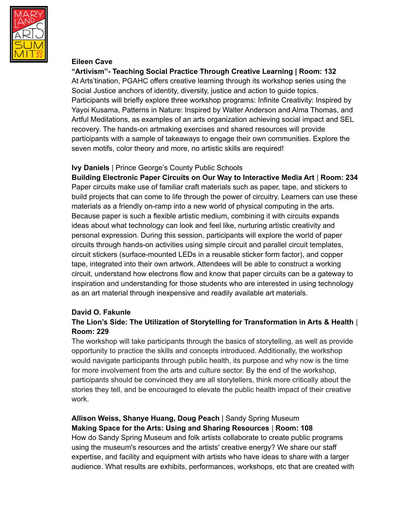

#### **Eileen Cave**

**"Artivism"- Teaching Social Practice Through Creative Learning | Room: 132** At Arts'tination, PGAHC offers creative learning through its workshop series using the Social Justice anchors of identity, diversity, justice and action to guide topics. Participants will briefly explore three workshop programs: Infinite Creativity: Inspired by Yayoi Kusama, Patterns in Nature: Inspired by Walter Anderson and Alma Thomas, and Artful Meditations, as examples of an arts organization achieving social impact and SEL recovery. The hands-on artmaking exercises and shared resources will provide participants with a sample of takeaways to engage their own communities. Explore the seven motifs, color theory and more, no artistic skills are required!

#### **Ivy Daniels** | Prince George's County Public Schools

**Building Electronic Paper Circuits on Our Way to Interactive Media Art** | **Room: 234** Paper circuits make use of familiar craft materials such as paper, tape, and stickers to build projects that can come to life through the power of circuitry. Learners can use these materials as a friendly on-ramp into a new world of physical computing in the arts. Because paper is such a flexible artistic medium, combining it with circuits expands ideas about what technology can look and feel like, nurturing artistic creativity and personal expression. During this session, participants will explore the world of paper circuits through hands-on activities using simple circuit and parallel circuit templates, circuit stickers (surface-mounted LEDs in a reusable sticker form factor), and copper tape, integrated into their own artwork. Attendees will be able to construct a working circuit, understand how electrons flow and know that paper circuits can be a gateway to inspiration and understanding for those students who are interested in using technology as an art material through inexpensive and readily available art materials.

### **David O. Fakunle**

### **The Lion's Side: The Utilization of Storytelling for Transformation in Arts & Health** | **Room: 229**

The workshop will take participants through the basics of storytelling, as well as provide opportunity to practice the skills and concepts introduced. Additionally, the workshop would navigate participants through public health, its purpose and why now is the time for more involvement from the arts and culture sector. By the end of the workshop, participants should be convinced they are all storytellers, think more critically about the stories they tell, and be encouraged to elevate the public health impact of their creative work.

### **Allison Weiss, Shanye Huang, Doug Peach** | Sandy Spring Museum **Making Space for the Arts: Using and Sharing Resources** | **Room: 108**

How do Sandy Spring Museum and folk artists collaborate to create public programs using the museum's resources and the artists' creative energy? We share our staff expertise, and facility and equipment with artists who have ideas to share with a larger audience. What results are exhibits, performances, workshops, etc that are created with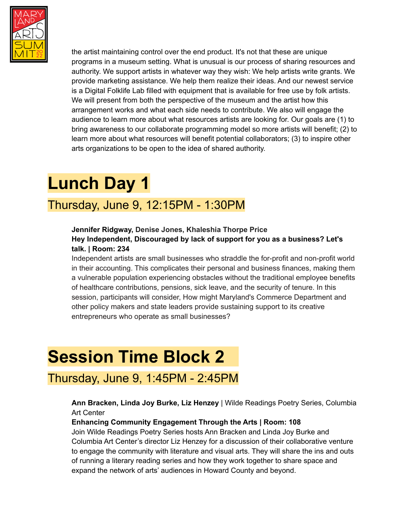

the artist maintaining control over the end product. It's not that these are unique programs in a museum setting. What is unusual is our process of sharing resources and authority. We support artists in whatever way they wish: We help artists write grants. We provide marketing assistance. We help them realize their ideas. And our newest service is a Digital Folklife Lab filled with equipment that is available for free use by folk artists. We will present from both the perspective of the museum and the artist how this arrangement works and what each side needs to contribute. We also will engage the audience to learn more about what resources artists are looking for. Our goals are (1) to bring awareness to our collaborate programming model so more artists will benefit; (2) to learn more about what resources will benefit potential collaborators; (3) to inspire other arts organizations to be open to the idea of shared authority.

## **Lunch Day 1**

## Thursday, June 9, 12:15PM - 1:30PM

### **Jennifer Ridgway, Denise Jones, Khaleshia Thorpe Price Hey Independent, Discouraged by lack of support for you as a business? Let's talk. | Room: 234**

Independent artists are small businesses who straddle the for-profit and non-profit world in their accounting. This complicates their personal and business finances, making them a vulnerable population experiencing obstacles without the traditional employee benefits of healthcare contributions, pensions, sick leave, and the security of tenure. In this session, participants will consider, How might Maryland's Commerce Department and other policy makers and state leaders provide sustaining support to its creative entrepreneurs who operate as small businesses?

## **Session Time Block 2**

### Thursday, June 9, 1:45PM - 2:45PM

### **Ann Bracken, Linda Joy Burke, Liz Henzey** | Wilde Readings Poetry Series, Columbia Art Center

### **Enhancing Community Engagement Through the Arts | Room: 108**

Join Wilde Readings Poetry Series hosts Ann Bracken and Linda Joy Burke and Columbia Art Center's director Liz Henzey for a discussion of their collaborative venture to engage the community with literature and visual arts. They will share the ins and outs of running a literary reading series and how they work together to share space and expand the network of arts' audiences in Howard County and beyond.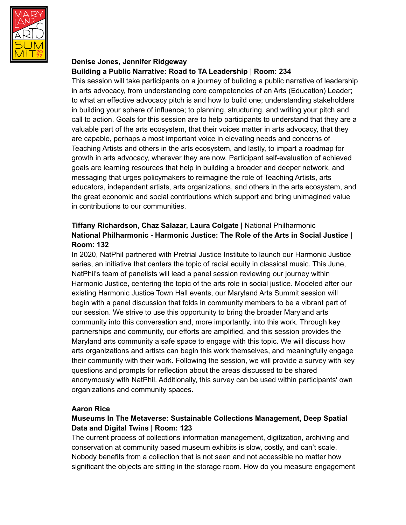

### **Denise Jones, Jennifer Ridgeway Building a Public Narrative: Road to TA Leadership** | **Room: 234**

This session will take participants on a journey of building a public narrative of leadership in arts advocacy, from understanding core competencies of an Arts (Education) Leader; to what an effective advocacy pitch is and how to build one; understanding stakeholders in building your sphere of influence; to planning, structuring, and writing your pitch and call to action. Goals for this session are to help participants to understand that they are a valuable part of the arts ecosystem, that their voices matter in arts advocacy, that they are capable, perhaps a most important voice in elevating needs and concerns of Teaching Artists and others in the arts ecosystem, and lastly, to impart a roadmap for growth in arts advocacy, wherever they are now. Participant self-evaluation of achieved goals are learning resources that help in building a broader and deeper network, and messaging that urges policymakers to reimagine the role of Teaching Artists, arts educators, independent artists, arts organizations, and others in the arts ecosystem, and the great economic and social contributions which support and bring unimagined value in contributions to our communities.

### **Tiffany Richardson, Chaz Salazar, Laura Colgate** | National Philharmonic **National Philharmonic - Harmonic Justice: The Role of the Arts in Social Justice | Room: 132**

In 2020, NatPhil partnered with Pretrial Justice Institute to launch our Harmonic Justice series, an initiative that centers the topic of racial equity in classical music. This June, NatPhil's team of panelists will lead a panel session reviewing our journey within Harmonic Justice, centering the topic of the arts role in social justice. Modeled after our existing Harmonic Justice Town Hall events, our Maryland Arts Summit session will begin with a panel discussion that folds in community members to be a vibrant part of our session. We strive to use this opportunity to bring the broader Maryland arts community into this conversation and, more importantly, into this work. Through key partnerships and community, our efforts are amplified, and this session provides the Maryland arts community a safe space to engage with this topic. We will discuss how arts organizations and artists can begin this work themselves, and meaningfully engage their community with their work. Following the session, we will provide a survey with key questions and prompts for reflection about the areas discussed to be shared anonymously with NatPhil. Additionally, this survey can be used within participants' own organizations and community spaces.

### **Aaron Rice**

### **Museums In The Metaverse: Sustainable Collections Management, Deep Spatial Data and Digital Twins | Room: 123**

The current process of collections information management, digitization, archiving and conservation at community based museum exhibits is slow, costly, and can't scale. Nobody benefits from a collection that is not seen and not accessible no matter how significant the objects are sitting in the storage room. How do you measure engagement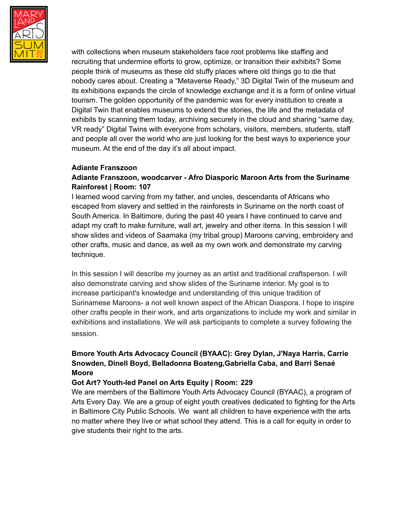

with collections when museum stakeholders face root problems like staffing and recruiting that undermine efforts to grow, optimize, or transition their exhibits? Some people think of museums as these old stuffy places where old things go to die that nobody cares about. Creating a "Metaverse Ready," 3D Digital Twin of the museum and its exhibitions expands the circle of knowledge exchange and it is a form of online virtual tourism. The golden opportunity of the pandemic was for every institution to create a Digital Twin that enables museums to extend the stories, the life and the metadata of exhibits by scanning them today, archiving securely in the cloud and sharing "same day, VR ready" Digital Twins with everyone from scholars, visitors, members, students, staff and people all over the world who are just looking for the best ways to experience your museum. At the end of the day it's all about impact.

#### **Adiante Franszoon**

### **Adiante Franszoon, woodcarver - Afro Diasporic Maroon Arts from the Suriname Rainforest | Room: 107**

I learned wood carving from my father, and uncles, descendants of Africans who escaped from slavery and settled in the rainforests in Suriname on the north coast of South America. In Baltimore, during the past 40 years I have continued to carve and adapt my craft to make furniture, wall art, jewelry and other items. In this session I will show slides and videos of Saamaka (my tribal group) Maroons carving, embroidery and other crafts, music and dance, as well as my own work and demonstrate my carving technique.

In this session I will describe my journey as an artist and traditional craftsperson. I will also demonstrate carving and show slides of the Suriname interior. My goal is to increase participant's knowledge and understanding of this unique tradition of Surinamese Maroons- a not well known aspect of the African Diaspora. I hope to inspire other crafts people in their work, and arts organizations to include my work and similar in exhibitions and installations. We will ask participants to complete a survey following the session.

### **Bmore Youth Arts Advocacy Council (BYAAC): Grey Dylan, J'Naya Harris, Carrie Snowden, Dinell Boyd, Belladonna Boateng,Gabriella Caba, and Barri Senaé Moore**

### **Got Art? Youth-led Panel on Arts Equity | Room: 229**

We are members of the Baltimore Youth Arts Advocacy Council (BYAAC), a program of Arts Every Day. We are a group of eight youth creatives dedicated to fighting for the Arts in Baltimore City Public Schools. We want all children to have experience with the arts no matter where they live or what school they attend. This is a call for equity in order to give students their right to the arts.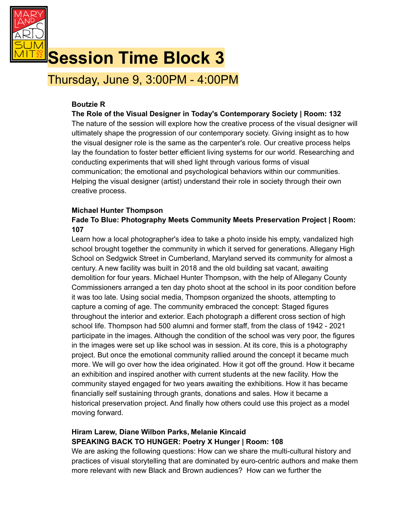

## **Session Time Block 3**

Thursday, June 9, 3:00PM - 4:00PM

### **Boutzie R**

### **The Role of the Visual Designer in Today's Contemporary Society | Room: 132**

The nature of the session will explore how the creative process of the visual designer will ultimately shape the progression of our contemporary society. Giving insight as to how the visual designer role is the same as the carpenter's role. Our creative process helps lay the foundation to foster better efficient living systems for our world. Researching and conducting experiments that will shed light through various forms of visual communication; the emotional and psychological behaviors within our communities. Helping the visual designer (artist) understand their role in society through their own creative process.

### **Michael Hunter Thompson**

### **Fade To Blue: Photography Meets Community Meets Preservation Project | Room: 107**

Learn how a local photographer's idea to take a photo inside his empty, vandalized high school brought together the community in which it served for generations. Allegany High School on Sedgwick Street in Cumberland, Maryland served its community for almost a century. A new facility was built in 2018 and the old building sat vacant, awaiting demolition for four years. Michael Hunter Thompson, with the help of Allegany County Commissioners arranged a ten day photo shoot at the school in its poor condition before it was too late. Using social media, Thompson organized the shoots, attempting to capture a coming of age. The community embraced the concept: Staged figures throughout the interior and exterior. Each photograph a different cross section of high school life. Thompson had 500 alumni and former staff, from the class of 1942 - 2021 participate in the images. Although the condition of the school was very poor, the figures in the images were set up like school was in session. At its core, this is a photography project. But once the emotional community rallied around the concept it became much more. We will go over how the idea originated. How it got off the ground. How it became an exhibition and inspired another with current students at the new facility. How the community stayed engaged for two years awaiting the exhibitions. How it has became financially self sustaining through grants, donations and sales. How it became a historical preservation project. And finally how others could use this project as a model moving forward.

### **Hiram Larew, Diane Wilbon Parks, Melanie Kincaid SPEAKING BACK TO HUNGER: Poetry X Hunger | Room: 108**

We are asking the following questions: How can we share the multi-cultural history and practices of visual storytelling that are dominated by euro-centric authors and make them more relevant with new Black and Brown audiences? How can we further the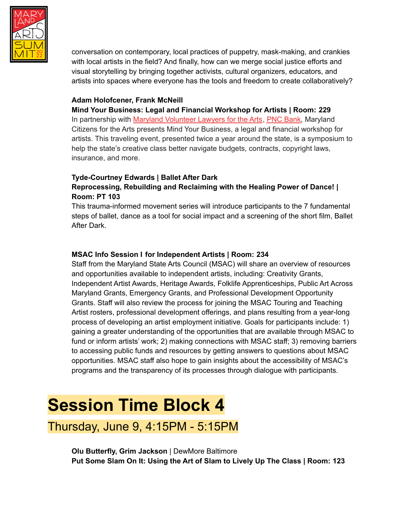

conversation on contemporary, local practices of puppetry, mask-making, and crankies with local artists in the field? And finally, how can we merge social justice efforts and visual storytelling by bringing together activists, cultural organizers, educators, and artists into spaces where everyone has the tools and freedom to create collaboratively?

### **Adam Holofcener, Frank McNeill**

**Mind Your Business: Legal and Financial Workshop for Artists | Room: 229** In partnership with Maryland [Volunteer](https://mdvla.org/) Lawyers for the Arts, PNC [Bank,](https://www.pnc.com/en/personal-banking.html) Maryland Citizens for the Arts presents Mind Your Business, a legal and financial workshop for artists. This traveling event, presented twice a year around the state, is a symposium to help the state's creative class better navigate budgets, contracts, copyright laws, insurance, and more.

### **Tyde-Courtney Edwards | Ballet After Dark Reprocessing, Rebuilding and Reclaiming with the Healing Power of Dance! | Room: PT 103**

This trauma-informed movement series will introduce participants to the 7 fundamental steps of ballet, dance as a tool for social impact and a screening of the short film, Ballet After Dark.

### **MSAC Info Session I for Independent Artists | Room: 234**

Staff from the Maryland State Arts Council (MSAC) will share an overview of resources and opportunities available to independent artists, including: Creativity Grants, Independent Artist Awards, Heritage Awards, Folklife Apprenticeships, Public Art Across Maryland Grants, Emergency Grants, and Professional Development Opportunity Grants. Staff will also review the process for joining the MSAC Touring and Teaching Artist rosters, professional development offerings, and plans resulting from a year-long process of developing an artist employment initiative. Goals for participants include: 1) gaining a greater understanding of the opportunities that are available through MSAC to fund or inform artists' work; 2) making connections with MSAC staff; 3) removing barriers to accessing public funds and resources by getting answers to questions about MSAC opportunities. MSAC staff also hope to gain insights about the accessibility of MSAC's programs and the transparency of its processes through dialogue with participants.

## **Session Time Block 4**

Thursday, June 9, 4:15PM - 5:15PM

**Olu Butterfly, Grim Jackson** | DewMore Baltimore **Put Some Slam On It: Using the Art of Slam to Lively Up The Class | Room: 123**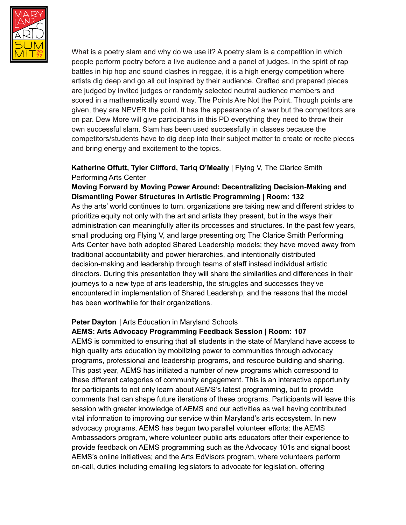

What is a poetry slam and why do we use it? A poetry slam is a competition in which people perform poetry before a live audience and a panel of judges. In the spirit of rap battles in hip hop and sound clashes in reggae, it is a high energy competition where artists dig deep and go all out inspired by their audience. Crafted and prepared pieces are judged by invited judges or randomly selected neutral audience members and scored in a mathematically sound way. The Points Are Not the Point. Though points are given, they are NEVER the point. It has the appearance of a war but the competitors are on par. Dew More will give participants in this PD everything they need to throw their own successful slam. Slam has been used successfully in classes because the competitors/students have to dig deep into their subject matter to create or recite pieces and bring energy and excitement to the topics.

### **Katherine Offutt, Tyler Clifford, Tariq O'Meally** | Flying V, The Clarice Smith Performing Arts Center

### **Moving Forward by Moving Power Around: Decentralizing Decision-Making and Dismantling Power Structures in Artistic Programming | Room: 132**

As the arts' world continues to turn, organizations are taking new and different strides to prioritize equity not only with the art and artists they present, but in the ways their administration can meaningfully alter its processes and structures. In the past few years, small producing org Flying V, and large presenting org The Clarice Smith Performing Arts Center have both adopted Shared Leadership models; they have moved away from traditional accountability and power hierarchies, and intentionally distributed decision-making and leadership through teams of staff instead individual artistic directors. During this presentation they will share the similarities and differences in their journeys to a new type of arts leadership, the struggles and successes they've encountered in implementation of Shared Leadership, and the reasons that the model has been worthwhile for their organizations.

### **Peter Dayton** | Arts Education in Maryland Schools

#### **AEMS: Arts Advocacy Programming Feedback Session | Room: 107**

AEMS is committed to ensuring that all students in the state of Maryland have access to high quality arts education by mobilizing power to communities through advocacy programs, professional and leadership programs, and resource building and sharing. This past year, AEMS has initiated a number of new programs which correspond to these different categories of community engagement. This is an interactive opportunity for participants to not only learn about AEMS's latest programming, but to provide comments that can shape future iterations of these programs. Participants will leave this session with greater knowledge of AEMS and our activities as well having contributed vital information to improving our service within Maryland's arts ecosystem. In new advocacy programs, AEMS has begun two parallel volunteer efforts: the AEMS Ambassadors program, where volunteer public arts educators offer their experience to provide feedback on AEMS programming such as the Advocacy 101s and signal boost AEMS's online initiatives; and the Arts EdVisors program, where volunteers perform on-call, duties including emailing legislators to advocate for legislation, offering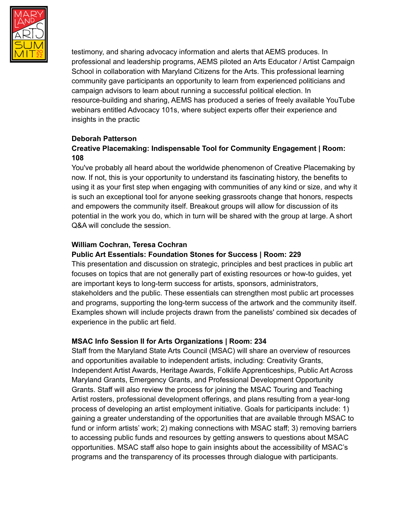

testimony, and sharing advocacy information and alerts that AEMS produces. In professional and leadership programs, AEMS piloted an Arts Educator / Artist Campaign School in collaboration with Maryland Citizens for the Arts. This professional learning community gave participants an opportunity to learn from experienced politicians and campaign advisors to learn about running a successful political election. In resource-building and sharing, AEMS has produced a series of freely available YouTube webinars entitled Advocacy 101s, where subject experts offer their experience and insights in the practic

### **Deborah Patterson**

### **Creative Placemaking: Indispensable Tool for Community Engagement | Room: 108**

You've probably all heard about the worldwide phenomenon of Creative Placemaking by now. If not, this is your opportunity to understand its fascinating history, the benefits to using it as your first step when engaging with communities of any kind or size, and why it is such an exceptional tool for anyone seeking grassroots change that honors, respects and empowers the community itself. Breakout groups will allow for discussion of its potential in the work you do, which in turn will be shared with the group at large. A short Q&A will conclude the session.

### **William Cochran, Teresa Cochran**

### **Public Art Essentials: Foundation Stones for Success | Room: 229**

This presentation and discussion on strategic, principles and best practices in public art focuses on topics that are not generally part of existing resources or how-to guides, yet are important keys to long-term success for artists, sponsors, administrators, stakeholders and the public. These essentials can strengthen most public art processes and programs, supporting the long-term success of the artwork and the community itself. Examples shown will include projects drawn from the panelists' combined six decades of experience in the public art field.

### **MSAC Info Session II for Arts Organizations | Room: 234**

Staff from the Maryland State Arts Council (MSAC) will share an overview of resources and opportunities available to independent artists, including: Creativity Grants, Independent Artist Awards, Heritage Awards, Folklife Apprenticeships, Public Art Across Maryland Grants, Emergency Grants, and Professional Development Opportunity Grants. Staff will also review the process for joining the MSAC Touring and Teaching Artist rosters, professional development offerings, and plans resulting from a year-long process of developing an artist employment initiative. Goals for participants include: 1) gaining a greater understanding of the opportunities that are available through MSAC to fund or inform artists' work; 2) making connections with MSAC staff; 3) removing barriers to accessing public funds and resources by getting answers to questions about MSAC opportunities. MSAC staff also hope to gain insights about the accessibility of MSAC's programs and the transparency of its processes through dialogue with participants.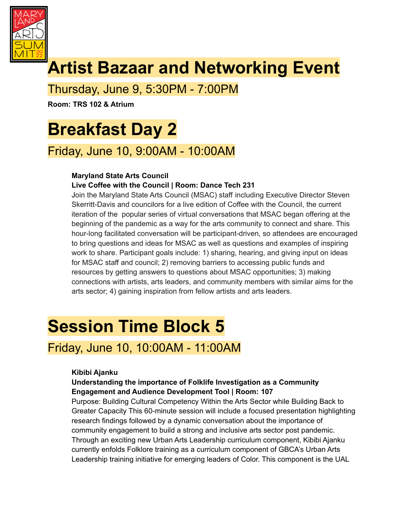

# **Artist Bazaar and Networking Event**

## Thursday, June 9, 5:30PM - 7:00PM

**Room: TRS 102 & Atrium**

# **Breakfast Day 2**

## Friday, June 10, 9:00AM - 10:00AM

### **Maryland State Arts Council**

### **Live Coffee with the Council | Room: Dance Tech 231**

Join the Maryland State Arts Council (MSAC) staff including Executive Director Steven Skerritt-Davis and councilors for a live edition of Coffee with the Council, the current iteration of the popular series of virtual conversations that MSAC began offering at the beginning of the pandemic as a way for the arts community to connect and share. This hour-long facilitated conversation will be participant-driven, so attendees are encouraged to bring questions and ideas for MSAC as well as questions and examples of inspiring work to share. Participant goals include: 1) sharing, hearing, and giving input on ideas for MSAC staff and council; 2) removing barriers to accessing public funds and resources by getting answers to questions about MSAC opportunities; 3) making connections with artists, arts leaders, and community members with similar aims for the arts sector; 4) gaining inspiration from fellow artists and arts leaders.

## **Session Time Block 5**

## Friday, June 10, 10:00AM - 11:00AM

### **Kibibi Ajanku**

### **Understanding the importance of Folklife Investigation as a Community Engagement and Audience Development Tool | Room: 107**

Purpose: Building Cultural Competency Within the Arts Sector while Building Back to Greater Capacity This 60-minute session will include a focused presentation highlighting research findings followed by a dynamic conversation about the importance of community engagement to build a strong and inclusive arts sector post pandemic. Through an exciting new Urban Arts Leadership curriculum component, Kibibi Ajanku currently enfolds Folklore training as a curriculum component of GBCA's Urban Arts Leadership training initiative for emerging leaders of Color. This component is the UAL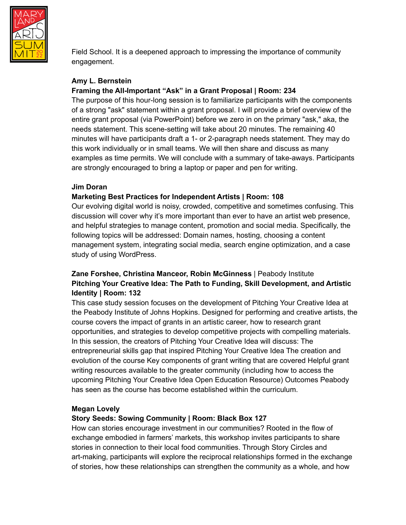

Field School. It is a deepened approach to impressing the importance of community engagement.

#### **Amy L. Bernstein Framing the All-Important "Ask" in a Grant Proposal | Room: 234**

The purpose of this hour-long session is to familiarize participants with the components of a strong "ask" statement within a grant proposal. I will provide a brief overview of the entire grant proposal (via PowerPoint) before we zero in on the primary "ask," aka, the needs statement. This scene-setting will take about 20 minutes. The remaining 40 minutes will have participants draft a 1- or 2-paragraph needs statement. They may do this work individually or in small teams. We will then share and discuss as many examples as time permits. We will conclude with a summary of take-aways. Participants are strongly encouraged to bring a laptop or paper and pen for writing.

### **Jim Doran**

### **Marketing Best Practices for Independent Artists | Room: 108**

Our evolving digital world is noisy, crowded, competitive and sometimes confusing. This discussion will cover why it's more important than ever to have an artist web presence, and helpful strategies to manage content, promotion and social media. Specifically, the following topics will be addressed: Domain names, hosting, choosing a content management system, integrating social media, search engine optimization, and a case study of using WordPress.

### **Zane Forshee, Christina Manceor, Robin McGinness** | Peabody Institute **Pitching Your Creative Idea: The Path to Funding, Skill Development, and Artistic Identity | Room: 132**

This case study session focuses on the development of Pitching Your Creative Idea at the Peabody Institute of Johns Hopkins. Designed for performing and creative artists, the course covers the impact of grants in an artistic career, how to research grant opportunities, and strategies to develop competitive projects with compelling materials. In this session, the creators of Pitching Your Creative Idea will discuss: The entrepreneurial skills gap that inspired Pitching Your Creative Idea The creation and evolution of the course Key components of grant writing that are covered Helpful grant writing resources available to the greater community (including how to access the upcoming Pitching Your Creative Idea Open Education Resource) Outcomes Peabody has seen as the course has become established within the curriculum.

### **Megan Lovely**

### **Story Seeds: Sowing Community | Room: Black Box 127**

How can stories encourage investment in our communities? Rooted in the flow of exchange embodied in farmers' markets, this workshop invites participants to share stories in connection to their local food communities. Through Story Circles and art-making, participants will explore the reciprocal relationships formed in the exchange of stories, how these relationships can strengthen the community as a whole, and how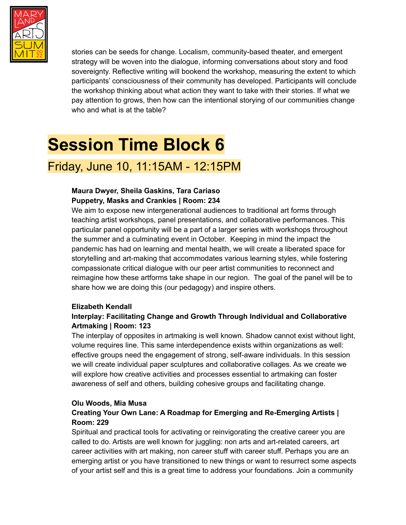

stories can be seeds for change. Localism, community-based theater, and emergent strategy will be woven into the dialogue, informing conversations about story and food sovereignty. Reflective writing will bookend the workshop, measuring the extent to which participants' consciousness of their community has developed. Participants will conclude the workshop thinking about what action they want to take with their stories. If what we pay attention to grows, then how can the intentional storying of our communities change who and what is at the table?

# **Session Time Block 6**

## Friday, June 10, 11:15AM - 12:15PM

### **Maura Dwyer, Sheila Gaskins, Tara Cariaso Puppetry, Masks and Crankies | Room: 234**

We aim to expose new intergenerational audiences to traditional art forms through teaching artist workshops, panel presentations, and collaborative performances. This particular panel opportunity will be a part of a larger series with workshops throughout the summer and a culminating event in October. Keeping in mind the impact the pandemic has had on learning and mental health, we will create a liberated space for storytelling and art-making that accommodates various learning styles, while fostering compassionate critical dialogue with our peer artist communities to reconnect and reimagine how these artforms take shape in our region. The goal of the panel will be to share how we are doing this (our pedagogy) and inspire others.

### **Elizabeth Kendall**

### **Interplay: Facilitating Change and Growth Through Individual and Collaborative Artmaking | Room: 123**

The interplay of opposites in artmaking is well known. Shadow cannot exist without light, volume requires line. This same interdependence exists within organizations as well: effective groups need the engagement of strong, self-aware individuals. In this session we will create individual paper sculptures and collaborative collages. As we create we will explore how creative activities and processes essential to artmaking can foster awareness of self and others, building cohesive groups and facilitating change.

### **Olu Woods, Mia Musa**

### **Creating Your Own Lane: A Roadmap for Emerging and Re-Emerging Artists | Room: 229**

Spiritual and practical tools for activating or reinvigorating the creative career you are called to do. Artists are well known for juggling: non arts and art-related careers, art career activities with art making, non career stuff with career stuff. Perhaps you are an emerging artist or you have transitioned to new things or want to resurrect some aspects of your artist self and this is a great time to address your foundations. Join a community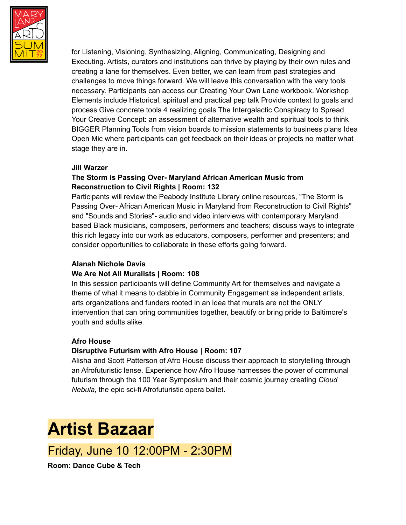

for Listening, Visioning, Synthesizing, Aligning, Communicating, Designing and Executing. Artists, curators and institutions can thrive by playing by their own rules and creating a lane for themselves. Even better, we can learn from past strategies and challenges to move things forward. We will leave this conversation with the very tools necessary. Participants can access our Creating Your Own Lane workbook. Workshop Elements include Historical, spiritual and practical pep talk Provide context to goals and process Give concrete tools 4 realizing goals The Intergalactic Conspiracy to Spread Your Creative Concept: an assessment of alternative wealth and spiritual tools to think BIGGER Planning Tools from vision boards to mission statements to business plans Idea Open Mic where participants can get feedback on their ideas or projects no matter what stage they are in.

#### **Jill Warzer**

### **The Storm is Passing Over- Maryland African American Music from Reconstruction to Civil Rights | Room: 132**

Participants will review the Peabody Institute Library online resources, "The Storm is Passing Over- African American Music in Maryland from Reconstruction to Civil Rights" and "Sounds and Stories"- audio and video interviews with contemporary Maryland based Black musicians, composers, performers and teachers; discuss ways to integrate this rich legacy into our work as educators, composers, performer and presenters; and consider opportunities to collaborate in these efforts going forward.

### **Alanah Nichole Davis**

### **We Are Not All Muralists | Room: 108**

In this session participants will define Community Art for themselves and navigate a theme of what it means to dabble in Community Engagement as independent artists, arts organizations and funders rooted in an idea that murals are not the ONLY intervention that can bring communities together, beautify or bring pride to Baltimore's youth and adults alike.

### **Afro House**

### **Disruptive Futurism with Afro House | Room: 107**

Alisha and Scott Patterson of Afro House discuss their approach to storytelling through an Afrofuturistic lense. Experience how Afro House harnesses the power of communal futurism through the 100 Year Symposium and their cosmic journey creating *Cloud Nebula,* the epic sci-fi Afrofuturistic opera ballet.

## **Artist Bazaar**

## Friday, June 10 12:00PM - 2:30PM

**Room: Dance Cube & Tech**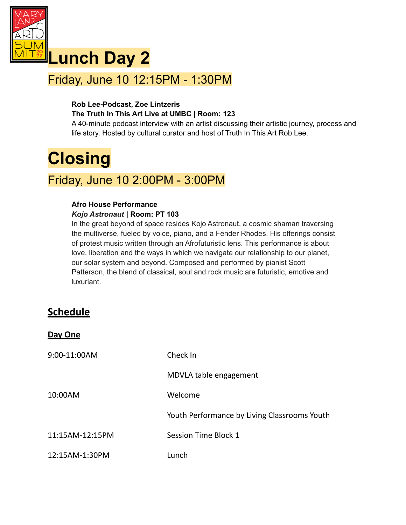

## **Lunch Day 2**

## Friday, June 10 12:15PM - 1:30PM

### **Rob Lee-Podcast, Zoe Lintzeris The Truth In This Art Live at UMBC | Room: 123**

A 40-minute podcast interview with an artist discussing their artistic journey, process and life story. Hosted by cultural curator and host of Truth In This Art Rob Lee.

# **Closing**

## Friday, June 10 2:00PM - 3:00PM

### **Afro House Performance** *Kojo Astronaut* **| Room: PT 103**

In the great beyond of space resides Kojo Astronaut, a cosmic shaman traversing the multiverse, fueled by voice, piano, and a Fender Rhodes. His offerings consist of protest music written through an Afrofuturistic lens. This performance is about love, liberation and the ways in which we navigate our relationship to our planet, our solar system and beyond. Composed and performed by pianist Scott Patterson, the blend of classical, soul and rock music are futuristic, emotive and luxuriant.

### **Schedule**

**Day One**

| 9:00-11:00AM    | Check In                                     |
|-----------------|----------------------------------------------|
|                 | MDVLA table engagement                       |
| 10:00AM         | Welcome                                      |
|                 | Youth Performance by Living Classrooms Youth |
| 11:15AM-12:15PM | Session Time Block 1                         |
| 12:15AM-1:30PM  | Lunch                                        |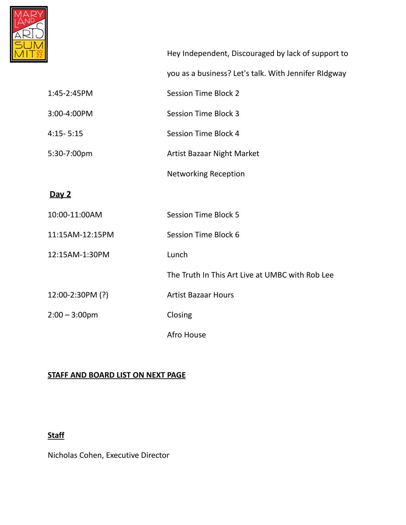

|                  | Hey Independent, Discouraged by lack of support to   |
|------------------|------------------------------------------------------|
|                  | you as a business? Let's talk. With Jennifer RIdgway |
| 1:45-2:45PM      | <b>Session Time Block 2</b>                          |
| 3:00-4:00PM      | <b>Session Time Block 3</b>                          |
| $4:15 - 5:15$    | Session Time Block 4                                 |
| 5:30-7:00pm      | <b>Artist Bazaar Night Market</b>                    |
|                  | <b>Networking Reception</b>                          |
| Day 2            |                                                      |
| 10:00-11:00AM    | <b>Session Time Block 5</b>                          |
| 11:15AM-12:15PM  | Session Time Block 6                                 |
| 12:15AM-1:30PM   | Lunch                                                |
|                  | The Truth In This Art Live at UMBC with Rob Lee      |
| 12:00-2:30PM (?) | <b>Artist Bazaar Hours</b>                           |
| $2:00 - 3:00$ pm | Closing                                              |
|                  | Afro House                                           |

### **STAFF AND BOARD LIST ON NEXT PAGE**

### **Staff**

Nicholas Cohen, Executive Director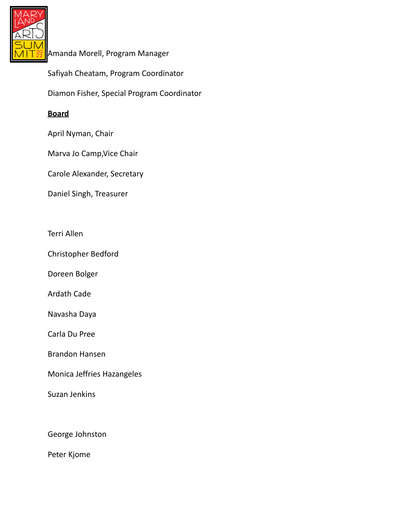

Amanda Morell, Program Manager

Safiyah Cheatam, Program Coordinator

Diamon Fisher, Special Program Coordinator

### **Board**

April Nyman, Chair

Marva Jo Camp,Vice Chair

Carole Alexander, Secretary

Daniel Singh, Treasurer

Terri Allen

Christopher Bedford

Doreen Bolger

Ardath Cade

Navasha Daya

Carla Du Pree

Brandon Hansen

Monica Jeffries Hazangeles

Suzan Jenkins

George Johnston

Peter Kjome